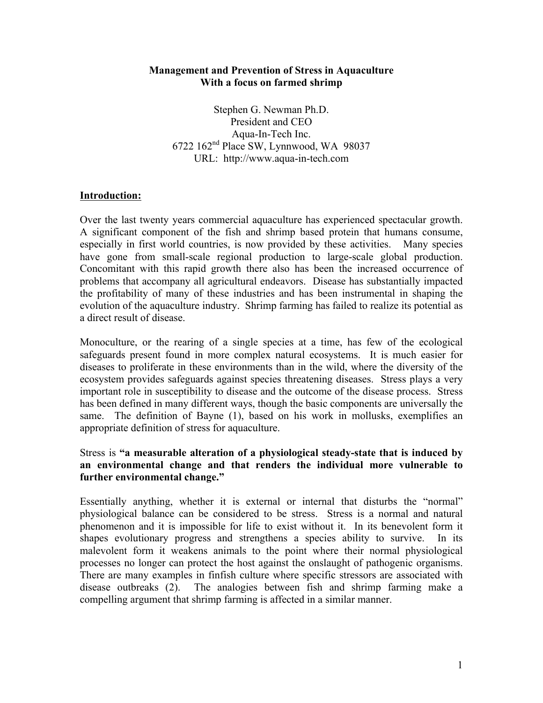#### **Management and Prevention of Stress in Aquaculture With a focus on farmed shrimp**

Stephen G. Newman Ph.D. President and CEO Aqua-In-Tech Inc. 6722 162nd Place SW, Lynnwood, WA 98037 URL: http://www.aqua-in-tech.com

#### **Introduction:**

Over the last twenty years commercial aquaculture has experienced spectacular growth. A significant component of the fish and shrimp based protein that humans consume, especially in first world countries, is now provided by these activities. Many species have gone from small-scale regional production to large-scale global production. Concomitant with this rapid growth there also has been the increased occurrence of problems that accompany all agricultural endeavors. Disease has substantially impacted the profitability of many of these industries and has been instrumental in shaping the evolution of the aquaculture industry. Shrimp farming has failed to realize its potential as a direct result of disease.

Monoculture, or the rearing of a single species at a time, has few of the ecological safeguards present found in more complex natural ecosystems. It is much easier for diseases to proliferate in these environments than in the wild, where the diversity of the ecosystem provides safeguards against species threatening diseases. Stress plays a very important role in susceptibility to disease and the outcome of the disease process. Stress has been defined in many different ways, though the basic components are universally the same. The definition of Bayne (1), based on his work in mollusks, exemplifies an appropriate definition of stress for aquaculture.

#### Stress is **"a measurable alteration of a physiological steady-state that is induced by an environmental change and that renders the individual more vulnerable to further environmental change."**

Essentially anything, whether it is external or internal that disturbs the "normal" physiological balance can be considered to be stress. Stress is a normal and natural phenomenon and it is impossible for life to exist without it. In its benevolent form it shapes evolutionary progress and strengthens a species ability to survive. In its malevolent form it weakens animals to the point where their normal physiological processes no longer can protect the host against the onslaught of pathogenic organisms. There are many examples in finfish culture where specific stressors are associated with disease outbreaks (2). The analogies between fish and shrimp farming make a compelling argument that shrimp farming is affected in a similar manner.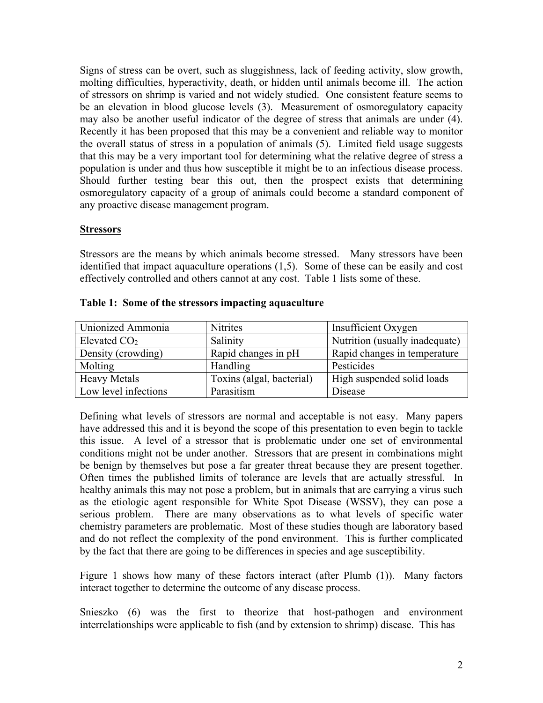Signs of stress can be overt, such as sluggishness, lack of feeding activity, slow growth, molting difficulties, hyperactivity, death, or hidden until animals become ill. The action of stressors on shrimp is varied and not widely studied. One consistent feature seems to be an elevation in blood glucose levels (3). Measurement of osmoregulatory capacity may also be another useful indicator of the degree of stress that animals are under (4). Recently it has been proposed that this may be a convenient and reliable way to monitor the overall status of stress in a population of animals (5). Limited field usage suggests that this may be a very important tool for determining what the relative degree of stress a population is under and thus how susceptible it might be to an infectious disease process. Should further testing bear this out, then the prospect exists that determining osmoregulatory capacity of a group of animals could become a standard component of any proactive disease management program.

#### **Stressors**

Stressors are the means by which animals become stressed. Many stressors have been identified that impact aquaculture operations (1,5). Some of these can be easily and cost effectively controlled and others cannot at any cost. Table 1 lists some of these.

| Unionized Ammonia    | <b>Nitrites</b>           | Insufficient Oxygen            |
|----------------------|---------------------------|--------------------------------|
| Elevated $CO2$       | Salinity                  | Nutrition (usually inadequate) |
| Density (crowding)   | Rapid changes in pH       | Rapid changes in temperature   |
| Molting              | Handling                  | Pesticides                     |
| <b>Heavy Metals</b>  | Toxins (algal, bacterial) | High suspended solid loads     |
| Low level infections | Parasitism                | Disease                        |

|  |  | Table 1: Some of the stressors impacting aquaculture |  |
|--|--|------------------------------------------------------|--|
|--|--|------------------------------------------------------|--|

Defining what levels of stressors are normal and acceptable is not easy. Many papers have addressed this and it is beyond the scope of this presentation to even begin to tackle this issue. A level of a stressor that is problematic under one set of environmental conditions might not be under another. Stressors that are present in combinations might be benign by themselves but pose a far greater threat because they are present together. Often times the published limits of tolerance are levels that are actually stressful. In healthy animals this may not pose a problem, but in animals that are carrying a virus such as the etiologic agent responsible for White Spot Disease (WSSV), they can pose a serious problem. There are many observations as to what levels of specific water chemistry parameters are problematic. Most of these studies though are laboratory based and do not reflect the complexity of the pond environment. This is further complicated by the fact that there are going to be differences in species and age susceptibility.

Figure 1 shows how many of these factors interact (after Plumb (1)). Many factors interact together to determine the outcome of any disease process.

Snieszko (6) was the first to theorize that host-pathogen and environment interrelationships were applicable to fish (and by extension to shrimp) disease. This has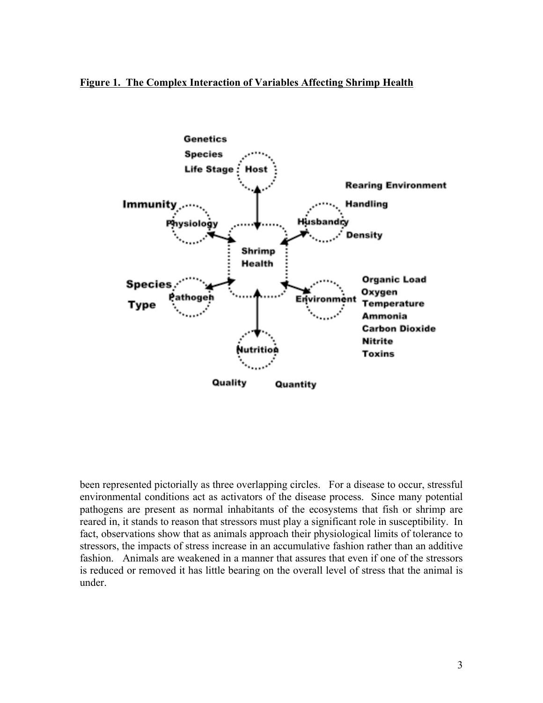#### **Figure 1. The Complex Interaction of Variables Affecting Shrimp Health**



been represented pictorially as three overlapping circles. For a disease to occur, stressful environmental conditions act as activators of the disease process. Since many potential pathogens are present as normal inhabitants of the ecosystems that fish or shrimp are reared in, it stands to reason that stressors must play a significant role in susceptibility. In fact, observations show that as animals approach their physiological limits of tolerance to stressors, the impacts of stress increase in an accumulative fashion rather than an additive fashion. Animals are weakened in a manner that assures that even if one of the stressors is reduced or removed it has little bearing on the overall level of stress that the animal is under.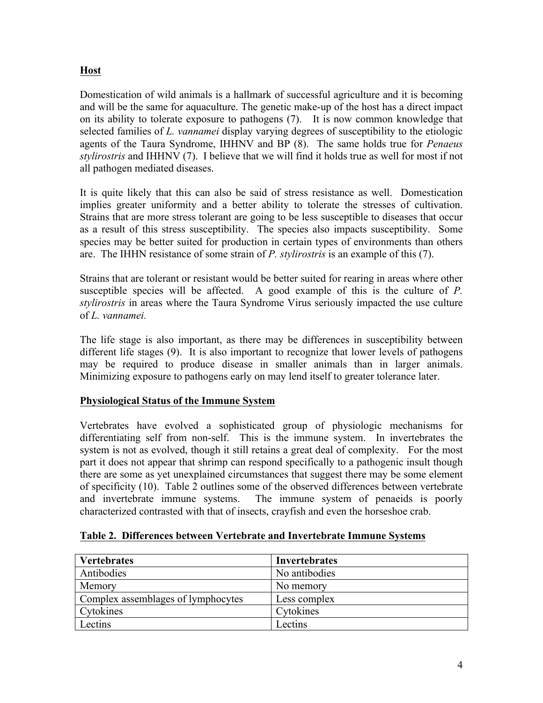# **Host**

Domestication of wild animals is a hallmark of successful agriculture and it is becoming and will be the same for aquaculture. The genetic make-up of the host has a direct impact on its ability to tolerate exposure to pathogens (7). It is now common knowledge that selected families of *L. vannamei* display varying degrees of susceptibility to the etiologic agents of the Taura Syndrome, IHHNV and BP (8). The same holds true for *Penaeus stylirostris* and IHHNV (7). I believe that we will find it holds true as well for most if not all pathogen mediated diseases.

It is quite likely that this can also be said of stress resistance as well. Domestication implies greater uniformity and a better ability to tolerate the stresses of cultivation. Strains that are more stress tolerant are going to be less susceptible to diseases that occur as a result of this stress susceptibility. The species also impacts susceptibility. Some species may be better suited for production in certain types of environments than others are. The IHHN resistance of some strain of *P. stylirostris* is an example of this (7).

Strains that are tolerant or resistant would be better suited for rearing in areas where other susceptible species will be affected. A good example of this is the culture of *P. stylirostris* in areas where the Taura Syndrome Virus seriously impacted the use culture of *L. vannamei.* 

The life stage is also important, as there may be differences in susceptibility between different life stages (9). It is also important to recognize that lower levels of pathogens may be required to produce disease in smaller animals than in larger animals. Minimizing exposure to pathogens early on may lend itself to greater tolerance later.

### **Physiological Status of the Immune System**

Vertebrates have evolved a sophisticated group of physiologic mechanisms for differentiating self from non-self. This is the immune system. In invertebrates the system is not as evolved, though it still retains a great deal of complexity. For the most part it does not appear that shrimp can respond specifically to a pathogenic insult though there are some as yet unexplained circumstances that suggest there may be some element of specificity (10). Table 2 outlines some of the observed differences between vertebrate and invertebrate immune systems. The immune system of penaeids is poorly characterized contrasted with that of insects, crayfish and even the horseshoe crab.

| <b>Vertebrates</b>                 | Invertebrates |
|------------------------------------|---------------|
| Antibodies                         | No antibodies |
| Memory                             | No memory     |
| Complex assemblages of lymphocytes | Less complex  |
| Cytokines                          | Cytokines     |
| Lectins                            | Lectins       |

### **Table 2. Differences between Vertebrate and Invertebrate Immune Systems**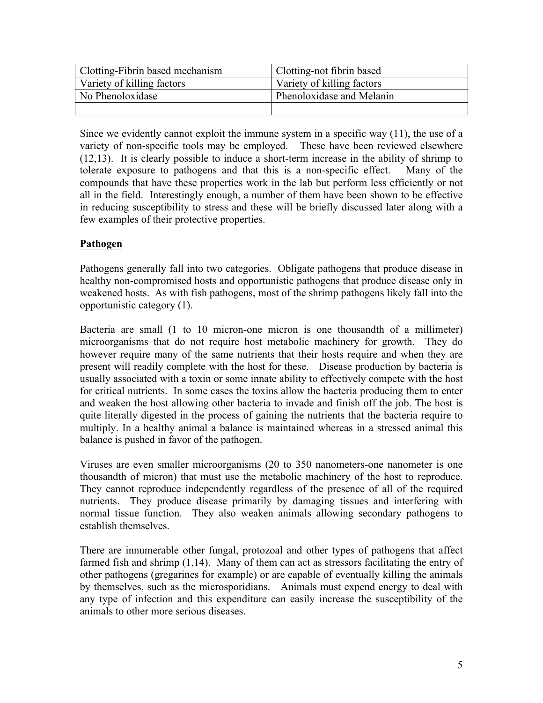| <b>Clotting-Fibrin based mechanism</b> | Clotting-not fibrin based  |
|----------------------------------------|----------------------------|
| Variety of killing factors             | Variety of killing factors |
| No Phenoloxidase                       | Phenoloxidase and Melanin  |
|                                        |                            |

Since we evidently cannot exploit the immune system in a specific way (11), the use of a variety of non-specific tools may be employed. These have been reviewed elsewhere (12,13). It is clearly possible to induce a short-term increase in the ability of shrimp to tolerate exposure to pathogens and that this is a non-specific effect. Many of the compounds that have these properties work in the lab but perform less efficiently or not all in the field. Interestingly enough, a number of them have been shown to be effective in reducing susceptibility to stress and these will be briefly discussed later along with a few examples of their protective properties.

## **Pathogen**

Pathogens generally fall into two categories. Obligate pathogens that produce disease in healthy non-compromised hosts and opportunistic pathogens that produce disease only in weakened hosts. As with fish pathogens, most of the shrimp pathogens likely fall into the opportunistic category (1).

Bacteria are small (1 to 10 micron-one micron is one thousandth of a millimeter) microorganisms that do not require host metabolic machinery for growth. They do however require many of the same nutrients that their hosts require and when they are present will readily complete with the host for these. Disease production by bacteria is usually associated with a toxin or some innate ability to effectively compete with the host for critical nutrients. In some cases the toxins allow the bacteria producing them to enter and weaken the host allowing other bacteria to invade and finish off the job. The host is quite literally digested in the process of gaining the nutrients that the bacteria require to multiply. In a healthy animal a balance is maintained whereas in a stressed animal this balance is pushed in favor of the pathogen.

Viruses are even smaller microorganisms (20 to 350 nanometers-one nanometer is one thousandth of micron) that must use the metabolic machinery of the host to reproduce. They cannot reproduce independently regardless of the presence of all of the required nutrients. They produce disease primarily by damaging tissues and interfering with normal tissue function. They also weaken animals allowing secondary pathogens to establish themselves.

There are innumerable other fungal, protozoal and other types of pathogens that affect farmed fish and shrimp (1,14). Many of them can act as stressors facilitating the entry of other pathogens (gregarines for example) or are capable of eventually killing the animals by themselves, such as the microsporidians. Animals must expend energy to deal with any type of infection and this expenditure can easily increase the susceptibility of the animals to other more serious diseases.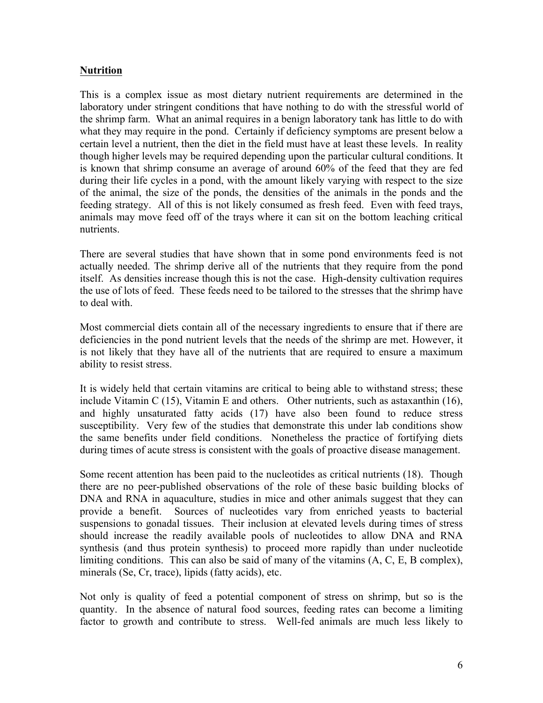## **Nutrition**

This is a complex issue as most dietary nutrient requirements are determined in the laboratory under stringent conditions that have nothing to do with the stressful world of the shrimp farm. What an animal requires in a benign laboratory tank has little to do with what they may require in the pond. Certainly if deficiency symptoms are present below a certain level a nutrient, then the diet in the field must have at least these levels. In reality though higher levels may be required depending upon the particular cultural conditions. It is known that shrimp consume an average of around 60% of the feed that they are fed during their life cycles in a pond, with the amount likely varying with respect to the size of the animal, the size of the ponds, the densities of the animals in the ponds and the feeding strategy. All of this is not likely consumed as fresh feed. Even with feed trays, animals may move feed off of the trays where it can sit on the bottom leaching critical nutrients.

There are several studies that have shown that in some pond environments feed is not actually needed. The shrimp derive all of the nutrients that they require from the pond itself. As densities increase though this is not the case. High-density cultivation requires the use of lots of feed. These feeds need to be tailored to the stresses that the shrimp have to deal with.

Most commercial diets contain all of the necessary ingredients to ensure that if there are deficiencies in the pond nutrient levels that the needs of the shrimp are met. However, it is not likely that they have all of the nutrients that are required to ensure a maximum ability to resist stress.

It is widely held that certain vitamins are critical to being able to withstand stress; these include Vitamin C (15), Vitamin E and others. Other nutrients, such as astaxanthin (16), and highly unsaturated fatty acids (17) have also been found to reduce stress susceptibility. Very few of the studies that demonstrate this under lab conditions show the same benefits under field conditions. Nonetheless the practice of fortifying diets during times of acute stress is consistent with the goals of proactive disease management.

Some recent attention has been paid to the nucleotides as critical nutrients (18). Though there are no peer-published observations of the role of these basic building blocks of DNA and RNA in aquaculture, studies in mice and other animals suggest that they can provide a benefit. Sources of nucleotides vary from enriched yeasts to bacterial suspensions to gonadal tissues. Their inclusion at elevated levels during times of stress should increase the readily available pools of nucleotides to allow DNA and RNA synthesis (and thus protein synthesis) to proceed more rapidly than under nucleotide limiting conditions. This can also be said of many of the vitamins (A, C, E, B complex), minerals (Se, Cr, trace), lipids (fatty acids), etc.

Not only is quality of feed a potential component of stress on shrimp, but so is the quantity. In the absence of natural food sources, feeding rates can become a limiting factor to growth and contribute to stress. Well-fed animals are much less likely to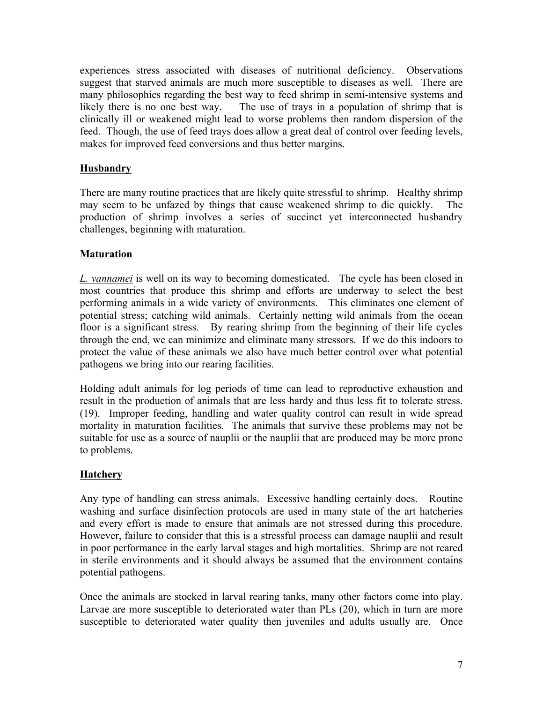experiences stress associated with diseases of nutritional deficiency. Observations suggest that starved animals are much more susceptible to diseases as well. There are many philosophies regarding the best way to feed shrimp in semi-intensive systems and likely there is no one best way. The use of trays in a population of shrimp that is clinically ill or weakened might lead to worse problems then random dispersion of the feed. Though, the use of feed trays does allow a great deal of control over feeding levels, makes for improved feed conversions and thus better margins.

## **Husbandry**

There are many routine practices that are likely quite stressful to shrimp. Healthy shrimp may seem to be unfazed by things that cause weakened shrimp to die quickly. The production of shrimp involves a series of succinct yet interconnected husbandry challenges, beginning with maturation.

## **Maturation**

*L. vannamei* is well on its way to becoming domesticated. The cycle has been closed in most countries that produce this shrimp and efforts are underway to select the best performing animals in a wide variety of environments. This eliminates one element of potential stress; catching wild animals. Certainly netting wild animals from the ocean floor is a significant stress. By rearing shrimp from the beginning of their life cycles through the end, we can minimize and eliminate many stressors. If we do this indoors to protect the value of these animals we also have much better control over what potential pathogens we bring into our rearing facilities.

Holding adult animals for log periods of time can lead to reproductive exhaustion and result in the production of animals that are less hardy and thus less fit to tolerate stress. (19). Improper feeding, handling and water quality control can result in wide spread mortality in maturation facilities. The animals that survive these problems may not be suitable for use as a source of nauplii or the nauplii that are produced may be more prone to problems.

### **Hatchery**

Any type of handling can stress animals. Excessive handling certainly does. Routine washing and surface disinfection protocols are used in many state of the art hatcheries and every effort is made to ensure that animals are not stressed during this procedure. However, failure to consider that this is a stressful process can damage nauplii and result in poor performance in the early larval stages and high mortalities. Shrimp are not reared in sterile environments and it should always be assumed that the environment contains potential pathogens.

Once the animals are stocked in larval rearing tanks, many other factors come into play. Larvae are more susceptible to deteriorated water than PLs (20), which in turn are more susceptible to deteriorated water quality then juveniles and adults usually are. Once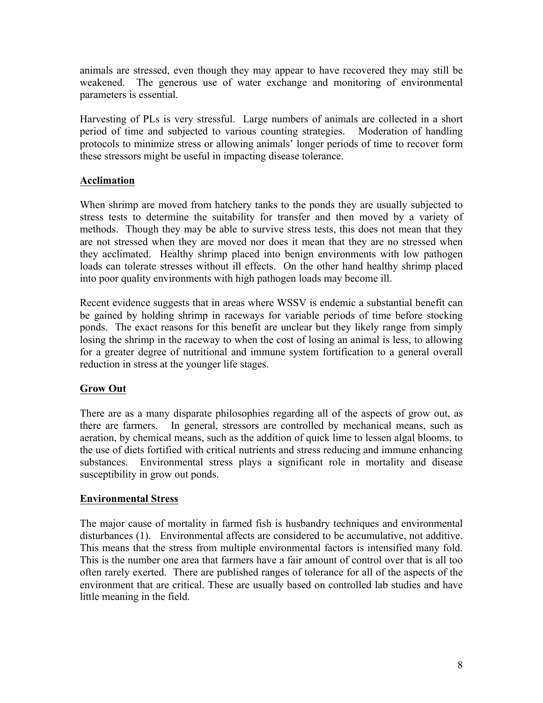animals are stressed, even though they may appear to have recovered they may still be weakened. The generous use of water exchange and monitoring of environmental parameters is essential.

Harvesting of PLs is very stressful. Large numbers of animals are collected in a short period of time and subjected to various counting strategies. Moderation of handling protocols to minimize stress or allowing animals' longer periods of time to recover form these stressors might be useful in impacting disease tolerance.

## **Acclimation**

When shrimp are moved from hatchery tanks to the ponds they are usually subjected to stress tests to determine the suitability for transfer and then moved by a variety of methods. Though they may be able to survive stress tests, this does not mean that they are not stressed when they are moved nor does it mean that they are no stressed when they acclimated. Healthy shrimp placed into benign environments with low pathogen loads can tolerate stresses without ill effects. On the other hand healthy shrimp placed into poor quality environments with high pathogen loads may become ill.

Recent evidence suggests that in areas where WSSV is endemic a substantial benefit can be gained by holding shrimp in raceways for variable periods of time before stocking ponds. The exact reasons for this benefit are unclear but they likely range from simply losing the shrimp in the raceway to when the cost of losing an animal is less, to allowing for a greater degree of nutritional and immune system fortification to a general overall reduction in stress at the younger life stages.

### **Grow Out**

There are as a many disparate philosophies regarding all of the aspects of grow out, as there are farmers. In general, stressors are controlled by mechanical means, such as aeration, by chemical means, such as the addition of quick lime to lessen algal blooms, to the use of diets fortified with critical nutrients and stress reducing and immune enhancing substances. Environmental stress plays a significant role in mortality and disease susceptibility in grow out ponds.

### **Environmental Stress**

The major cause of mortality in farmed fish is husbandry techniques and environmental disturbances (1). Environmental affects are considered to be accumulative, not additive. This means that the stress from multiple environmental factors is intensified many fold. This is the number one area that farmers have a fair amount of control over that is all too often rarely exerted. There are published ranges of tolerance for all of the aspects of the environment that are critical. These are usually based on controlled lab studies and have little meaning in the field.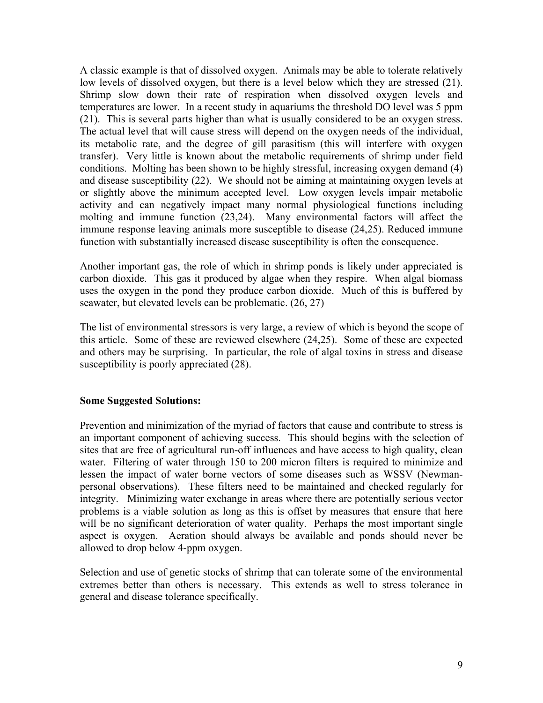A classic example is that of dissolved oxygen. Animals may be able to tolerate relatively low levels of dissolved oxygen, but there is a level below which they are stressed (21). Shrimp slow down their rate of respiration when dissolved oxygen levels and temperatures are lower. In a recent study in aquariums the threshold DO level was 5 ppm (21). This is several parts higher than what is usually considered to be an oxygen stress. The actual level that will cause stress will depend on the oxygen needs of the individual, its metabolic rate, and the degree of gill parasitism (this will interfere with oxygen transfer). Very little is known about the metabolic requirements of shrimp under field conditions. Molting has been shown to be highly stressful, increasing oxygen demand (4) and disease susceptibility (22). We should not be aiming at maintaining oxygen levels at or slightly above the minimum accepted level. Low oxygen levels impair metabolic activity and can negatively impact many normal physiological functions including molting and immune function (23,24). Many environmental factors will affect the immune response leaving animals more susceptible to disease (24,25). Reduced immune function with substantially increased disease susceptibility is often the consequence.

Another important gas, the role of which in shrimp ponds is likely under appreciated is carbon dioxide. This gas it produced by algae when they respire. When algal biomass uses the oxygen in the pond they produce carbon dioxide. Much of this is buffered by seawater, but elevated levels can be problematic. (26, 27)

The list of environmental stressors is very large, a review of which is beyond the scope of this article. Some of these are reviewed elsewhere (24,25). Some of these are expected and others may be surprising. In particular, the role of algal toxins in stress and disease susceptibility is poorly appreciated (28).

#### **Some Suggested Solutions:**

Prevention and minimization of the myriad of factors that cause and contribute to stress is an important component of achieving success. This should begins with the selection of sites that are free of agricultural run-off influences and have access to high quality, clean water. Filtering of water through 150 to 200 micron filters is required to minimize and lessen the impact of water borne vectors of some diseases such as WSSV (Newmanpersonal observations). These filters need to be maintained and checked regularly for integrity. Minimizing water exchange in areas where there are potentially serious vector problems is a viable solution as long as this is offset by measures that ensure that here will be no significant deterioration of water quality. Perhaps the most important single aspect is oxygen. Aeration should always be available and ponds should never be allowed to drop below 4-ppm oxygen.

Selection and use of genetic stocks of shrimp that can tolerate some of the environmental extremes better than others is necessary. This extends as well to stress tolerance in general and disease tolerance specifically.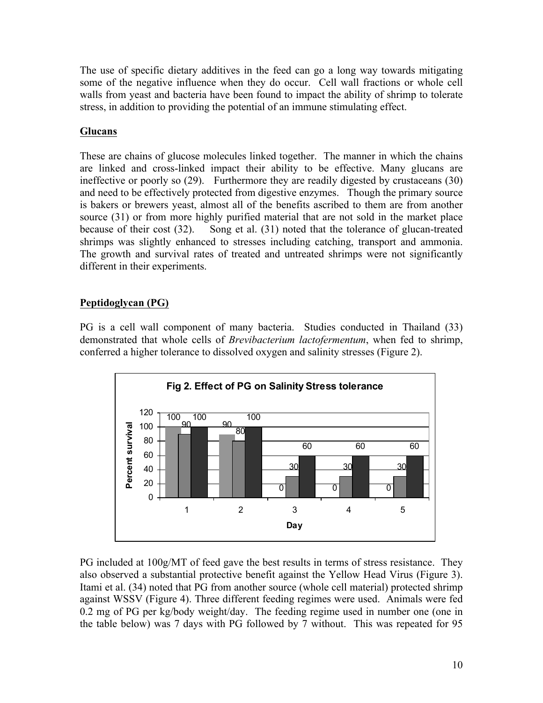The use of specific dietary additives in the feed can go a long way towards mitigating some of the negative influence when they do occur. Cell wall fractions or whole cell walls from yeast and bacteria have been found to impact the ability of shrimp to tolerate stress, in addition to providing the potential of an immune stimulating effect.

## **Glucans**

These are chains of glucose molecules linked together. The manner in which the chains are linked and cross-linked impact their ability to be effective. Many glucans are ineffective or poorly so (29). Furthermore they are readily digested by crustaceans (30) and need to be effectively protected from digestive enzymes. Though the primary source is bakers or brewers yeast, almost all of the benefits ascribed to them are from another source (31) or from more highly purified material that are not sold in the market place because of their cost (32). Song et al. (31) noted that the tolerance of glucan-treated shrimps was slightly enhanced to stresses including catching, transport and ammonia. The growth and survival rates of treated and untreated shrimps were not significantly different in their experiments.

# **Peptidoglycan (PG)**

PG is a cell wall component of many bacteria. Studies conducted in Thailand (33) demonstrated that whole cells of *Brevibacterium lactofermentum*, when fed to shrimp, conferred a higher tolerance to dissolved oxygen and salinity stresses (Figure 2).



PG included at 100g/MT of feed gave the best results in terms of stress resistance. They also observed a substantial protective benefit against the Yellow Head Virus (Figure 3). Itami et al. (34) noted that PG from another source (whole cell material) protected shrimp against WSSV (Figure 4). Three different feeding regimes were used. Animals were fed 0.2 mg of PG per kg/body weight/day. The feeding regime used in number one (one in the table below) was 7 days with PG followed by 7 without. This was repeated for 95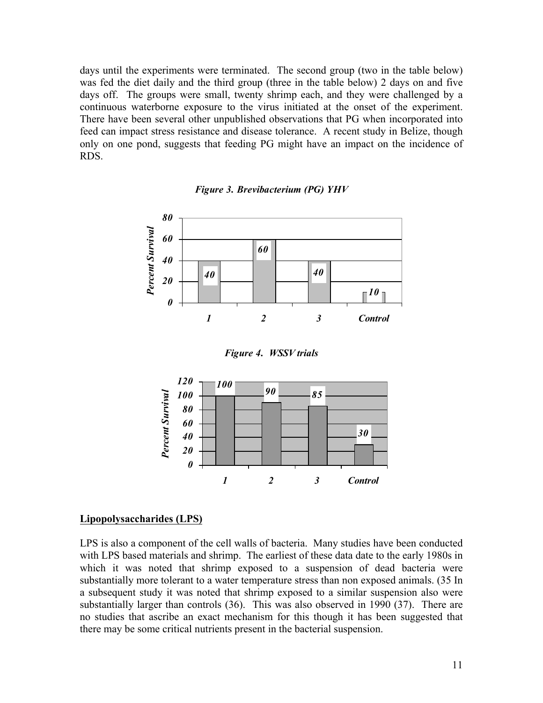days until the experiments were terminated. The second group (two in the table below) was fed the diet daily and the third group (three in the table below) 2 days on and five days off. The groups were small, twenty shrimp each, and they were challenged by a continuous waterborne exposure to the virus initiated at the onset of the experiment. There have been several other unpublished observations that PG when incorporated into feed can impact stress resistance and disease tolerance. A recent study in Belize, though only on one pond, suggests that feeding PG might have an impact on the incidence of RDS.



*Figure 3. Brevibacterium (PG) YHV*





#### **Lipopolysaccharides (LPS)**

LPS is also a component of the cell walls of bacteria. Many studies have been conducted with LPS based materials and shrimp. The earliest of these data date to the early 1980s in which it was noted that shrimp exposed to a suspension of dead bacteria were substantially more tolerant to a water temperature stress than non exposed animals. (35 In a subsequent study it was noted that shrimp exposed to a similar suspension also were substantially larger than controls (36). This was also observed in 1990 (37). There are no studies that ascribe an exact mechanism for this though it has been suggested that there may be some critical nutrients present in the bacterial suspension.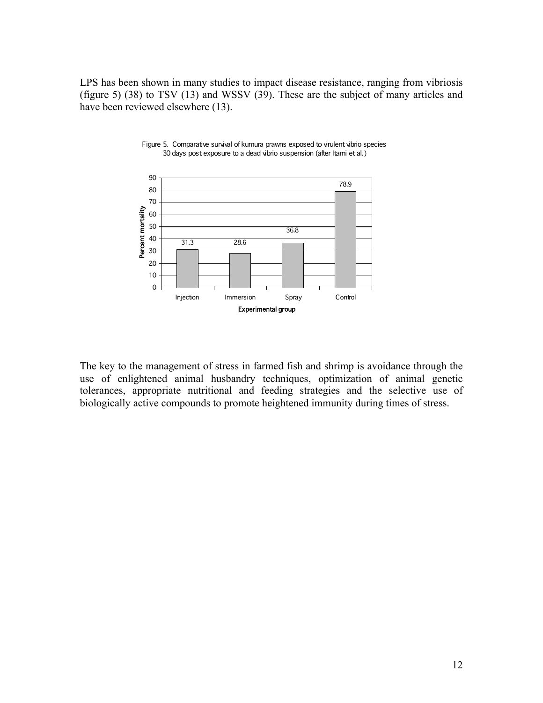LPS has been shown in many studies to impact disease resistance, ranging from vibriosis (figure 5) (38) to TSV (13) and WSSV (39). These are the subject of many articles and have been reviewed elsewhere (13).





The key to the management of stress in farmed fish and shrimp is avoidance through the use of enlightened animal husbandry techniques, optimization of animal genetic tolerances, appropriate nutritional and feeding strategies and the selective use of biologically active compounds to promote heightened immunity during times of stress.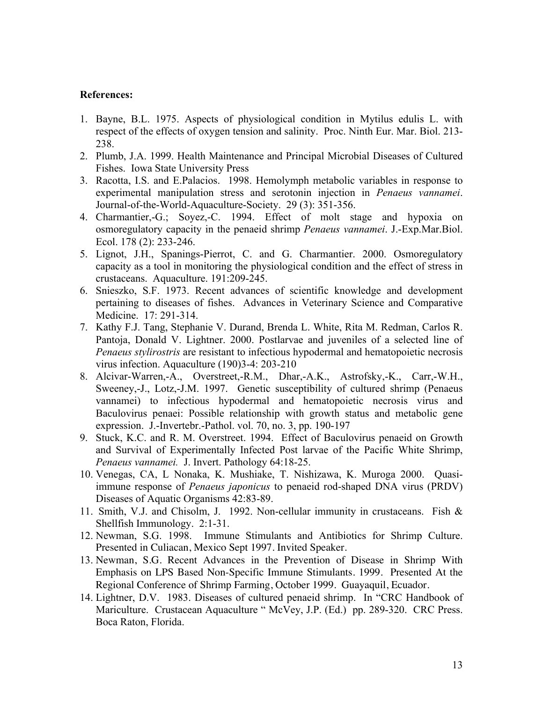#### **References:**

- 1. Bayne, B.L. 1975. Aspects of physiological condition in Mytilus edulis L. with respect of the effects of oxygen tension and salinity. Proc. Ninth Eur. Mar. Biol. 213- 238.
- 2. Plumb, J.A. 1999. Health Maintenance and Principal Microbial Diseases of Cultured Fishes. Iowa State University Press
- 3. Racotta, I.S. and E.Palacios. 1998. Hemolymph metabolic variables in response to experimental manipulation stress and serotonin injection in *Penaeus vannamei*. Journal-of-the-World-Aquaculture-Society. 29 (3): 351-356.
- 4. Charmantier,-G.; Soyez,-C. 1994. Effect of molt stage and hypoxia on osmoregulatory capacity in the penaeid shrimp *Penaeus vannamei*. J.-Exp.Mar.Biol. Ecol. 178 (2): 233-246.
- 5. Lignot, J.H., Spanings-Pierrot, C. and G. Charmantier. 2000. Osmoregulatory capacity as a tool in monitoring the physiological condition and the effect of stress in crustaceans. Aquaculture. 191:209-245.
- 6. Snieszko, S.F. 1973. Recent advances of scientific knowledge and development pertaining to diseases of fishes. Advances in Veterinary Science and Comparative Medicine. 17: 291-314.
- 7. Kathy F.J. Tang, Stephanie V. Durand, Brenda L. White, Rita M. Redman, Carlos R. Pantoja, Donald V. Lightner. 2000. Postlarvae and juveniles of a selected line of *Penaeus stylirostris* are resistant to infectious hypodermal and hematopoietic necrosis virus infection. Aquaculture (190)3-4: 203-210
- 8. Alcivar-Warren,-A., Overstreet,-R.M., Dhar,-A.K., Astrofsky,-K., Carr,-W.H., Sweeney,-J., Lotz,-J.M. 1997. Genetic susceptibility of cultured shrimp (Penaeus vannamei) to infectious hypodermal and hematopoietic necrosis virus and Baculovirus penaei: Possible relationship with growth status and metabolic gene expression. J.-Invertebr.-Pathol. vol. 70, no. 3, pp. 190-197
- 9. Stuck, K.C. and R. M. Overstreet. 1994. Effect of Baculovirus penaeid on Growth and Survival of Experimentally Infected Post larvae of the Pacific White Shrimp, *Penaeus vannamei.* J. Invert. Pathology 64:18-25.
- 10. Venegas, CA, L Nonaka, K. Mushiake, T. Nishizawa, K. Muroga 2000. Quasiimmune response of *Penaeus japonicus* to penaeid rod-shaped DNA virus (PRDV) Diseases of Aquatic Organisms 42:83-89.
- 11. Smith, V.J. and Chisolm, J. 1992. Non-cellular immunity in crustaceans. Fish & Shellfish Immunology. 2:1-31.
- 12. Newman, S.G. 1998. Immune Stimulants and Antibiotics for Shrimp Culture. Presented in Culiacan, Mexico Sept 1997. Invited Speaker.
- 13. Newman, S.G. Recent Advances in the Prevention of Disease in Shrimp With Emphasis on LPS Based Non-Specific Immune Stimulants. 1999. Presented At the Regional Conference of Shrimp Farming, October 1999. Guayaquil, Ecuador.
- 14. Lightner, D.V. 1983. Diseases of cultured penaeid shrimp. In "CRC Handbook of Mariculture. Crustacean Aquaculture " McVey, J.P. (Ed.) pp. 289-320. CRC Press. Boca Raton, Florida.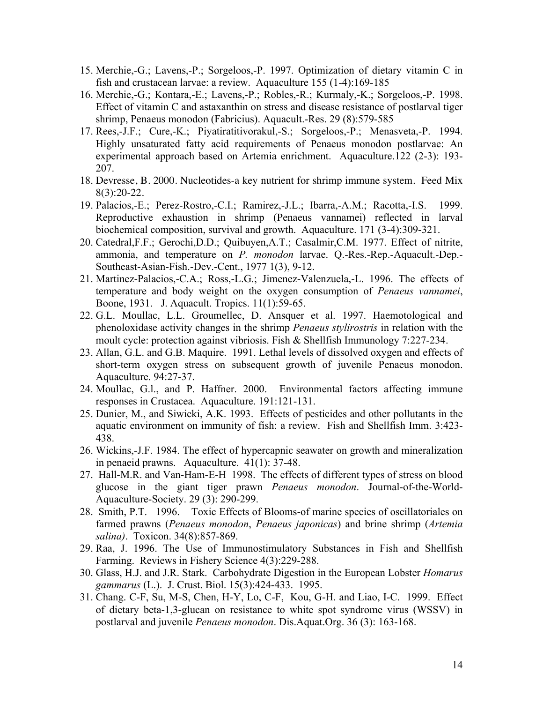- 15. Merchie,-G.; Lavens,-P.; Sorgeloos,-P. 1997. Optimization of dietary vitamin C in fish and crustacean larvae: a review. Aquaculture 155 (1-4):169-185
- 16. Merchie,-G.; Kontara,-E.; Lavens,-P.; Robles,-R.; Kurmaly,-K.; Sorgeloos,-P. 1998. Effect of vitamin C and astaxanthin on stress and disease resistance of postlarval tiger shrimp, Penaeus monodon (Fabricius). Aquacult.-Res. 29 (8):579-585
- 17. Rees,-J.F.; Cure,-K.; Piyatiratitivorakul,-S.; Sorgeloos,-P.; Menasveta,-P. 1994. Highly unsaturated fatty acid requirements of Penaeus monodon postlarvae: An experimental approach based on Artemia enrichment. Aquaculture.122 (2-3): 193- 207.
- 18. Devresse, B. 2000. Nucleotides-a key nutrient for shrimp immune system. Feed Mix 8(3):20-22.
- 19. Palacios,-E.; Perez-Rostro,-C.I.; Ramirez,-J.L.; Ibarra,-A.M.; Racotta,-I.S. 1999. Reproductive exhaustion in shrimp (Penaeus vannamei) reflected in larval biochemical composition, survival and growth. Aquaculture. 171 (3-4):309-321.
- 20. Catedral,F.F.; Gerochi,D.D.; Quibuyen,A.T.; Casalmir,C.M. 1977. Effect of nitrite, ammonia, and temperature on *P. monodon* larvae. Q.-Res.-Rep.-Aquacult.-Dep.- Southeast-Asian-Fish.-Dev.-Cent., 1977 1(3), 9-12.
- 21. Martinez-Palacios,-C.A.; Ross,-L.G.; Jimenez-Valenzuela,-L. 1996. The effects of temperature and body weight on the oxygen consumption of *Penaeus vannamei*, Boone, 1931. J. Aquacult. Tropics. 11(1):59-65.
- 22. G.L. Moullac, L.L. Groumellec, D. Ansquer et al. 1997. Haemotological and phenoloxidase activity changes in the shrimp *Penaeus stylirostris* in relation with the moult cycle: protection against vibriosis. Fish & Shellfish Immunology 7:227-234.
- 23. Allan, G.L. and G.B. Maquire. 1991. Lethal levels of dissolved oxygen and effects of short-term oxygen stress on subsequent growth of juvenile Penaeus monodon. Aquaculture. 94:27-37.
- 24. Moullac, G.l., and P. Haffner. 2000. Environmental factors affecting immune responses in Crustacea. Aquaculture. 191:121-131.
- 25. Dunier, M., and Siwicki, A.K. 1993. Effects of pesticides and other pollutants in the aquatic environment on immunity of fish: a review. Fish and Shellfish Imm. 3:423- 438.
- 26. Wickins,-J.F. 1984. The effect of hypercapnic seawater on growth and mineralization in penaeid prawns. Aquaculture. 41(1): 37-48.
- 27. Hall-M.R. and Van-Ham-E-H 1998. The effects of different types of stress on blood glucose in the giant tiger prawn *Penaeus monodon*. Journal-of-the-World-Aquaculture-Society. 29 (3): 290-299.
- 28. Smith, P.T. 1996. Toxic Effects of Blooms-of marine species of oscillatoriales on farmed prawns (*Penaeus monodon*, *Penaeus japonicas*) and brine shrimp (*Artemia salina)*. Toxicon. 34(8):857-869.
- 29. Raa, J. 1996. The Use of Immunostimulatory Substances in Fish and Shellfish Farming. Reviews in Fishery Science 4(3):229-288.
- 30. Glass, H.J. and J.R. Stark. Carbohydrate Digestion in the European Lobster *Homarus gammarus* (L.). J. Crust. Biol. 15(3):424-433. 1995.
- 31. Chang. C-F, Su, M-S, Chen, H-Y, Lo, C-F, Kou, G-H. and Liao, I-C. 1999. Effect of dietary beta-1,3-glucan on resistance to white spot syndrome virus (WSSV) in postlarval and juvenile *Penaeus monodon*. Dis.Aquat.Org. 36 (3): 163-168.